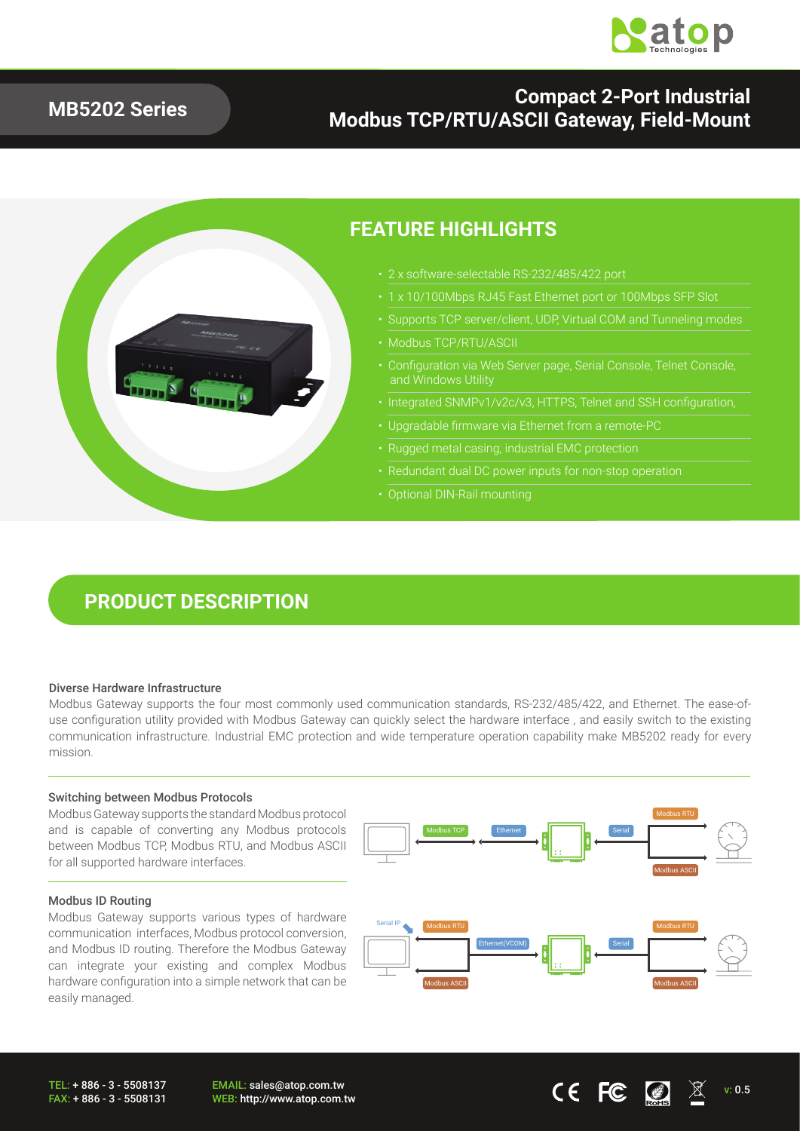

### **MB5202 Series**

### **Compact 2-Port Industrial Modbus TCP/RTU/ASCII Gateway, Field-Mount**



### **FEATURE HIGHLIGHTS**

- 2 x software-selectable RS-232/485/422 port
	-
- Supports TCP server/client, UDP, Virtual COM and Tunneling modes
- Modbus TCP/RTU/ASCII
- Configuration via Web Server page, Serial Console, Telnet Console, and Windows Utility
- Integrated SNMPv1/v2c/v3, HTTPS, Telnet and SSH configuration,
- Upgradable firmware via Ethernet from a remote-PC
- Rugged metal casing; industrial EMC protection
- 
- Optional DIN-Rail mounting

## **PRODUCT DESCRIPTION**

#### Diverse Hardware Infrastructure

Modbus Gateway supports the four most commonly used communication standards, RS-232/485/422, and Ethernet. The ease-ofuse configuration utility provided with Modbus Gateway can quickly select the hardware interface , and easily switch to the existing communication infrastructure. Industrial EMC protection and wide temperature operation capability make MB5202 ready for every mission.

#### Switching between Modbus Protocols

Modbus Gateway supports the standard Modbus protocol and is capable of converting any Modbus protocols between Modbus TCP, Modbus RTU, and Modbus ASCII for all supported hardware interfaces.

#### Modbus ID Routing

Modbus Gateway supports various types of hardware communication interfaces, Modbus protocol conversion, and Modbus ID routing. Therefore the Modbus Gateway can integrate your existing and complex Modbus hardware configuration into a simple network that can be easily managed.

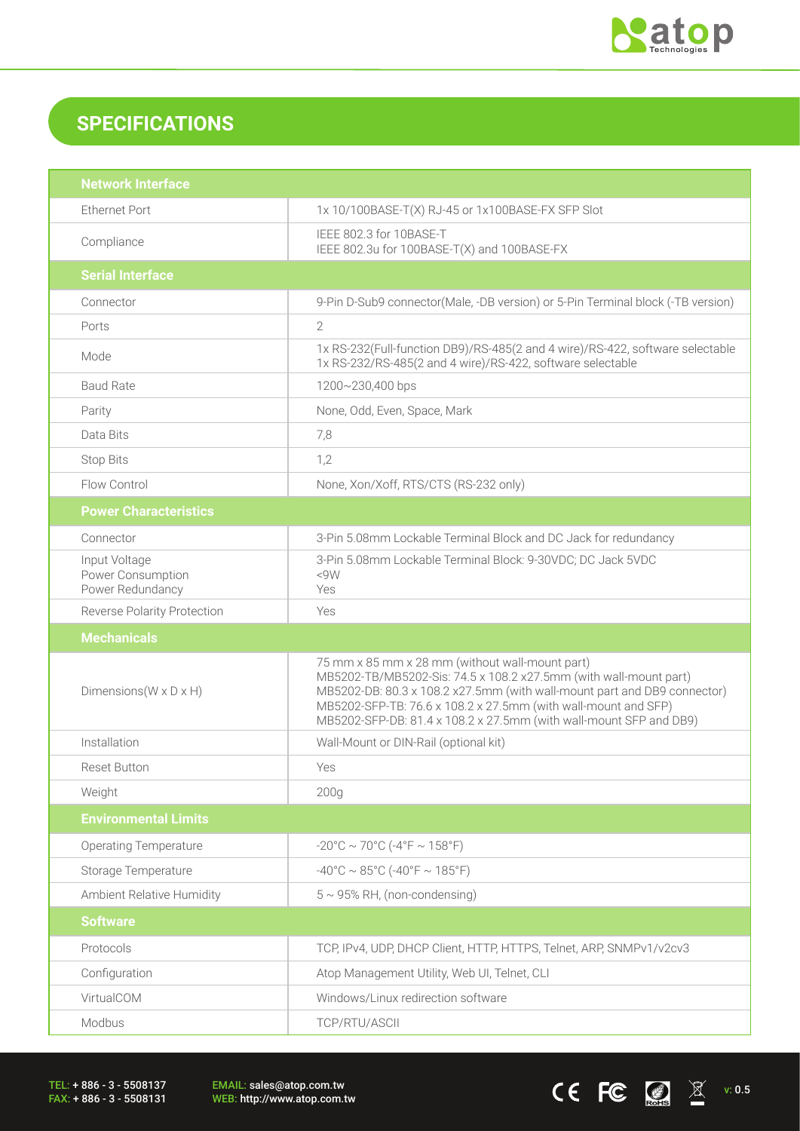

CEFC  $\Box$ 

## **SPECIFICATIONS**

| <b>Network Interface</b>                               |                                                                                                                                                                                                                                                                                                                                          |  |  |
|--------------------------------------------------------|------------------------------------------------------------------------------------------------------------------------------------------------------------------------------------------------------------------------------------------------------------------------------------------------------------------------------------------|--|--|
| <b>Ethernet Port</b>                                   | 1x 10/100BASE-T(X) RJ-45 or 1x100BASE-FX SFP Slot                                                                                                                                                                                                                                                                                        |  |  |
| Compliance                                             | IEEE 802.3 for 10BASE-T<br>IEEE 802.3u for 100BASE-T(X) and 100BASE-FX                                                                                                                                                                                                                                                                   |  |  |
| <b>Serial Interface</b>                                |                                                                                                                                                                                                                                                                                                                                          |  |  |
| Connector                                              | 9-Pin D-Sub9 connector(Male, -DB version) or 5-Pin Terminal block (-TB version)                                                                                                                                                                                                                                                          |  |  |
| Ports                                                  | $\overline{2}$                                                                                                                                                                                                                                                                                                                           |  |  |
| Mode                                                   | 1x RS-232(Full-function DB9)/RS-485(2 and 4 wire)/RS-422, software selectable<br>1x RS-232/RS-485(2 and 4 wire)/RS-422, software selectable                                                                                                                                                                                              |  |  |
| <b>Baud Rate</b>                                       | 1200~230,400 bps                                                                                                                                                                                                                                                                                                                         |  |  |
| Parity                                                 | None, Odd, Even, Space, Mark                                                                                                                                                                                                                                                                                                             |  |  |
| Data Bits                                              | 7,8                                                                                                                                                                                                                                                                                                                                      |  |  |
| <b>Stop Bits</b>                                       | 1,2                                                                                                                                                                                                                                                                                                                                      |  |  |
| Flow Control                                           | None, Xon/Xoff, RTS/CTS (RS-232 only)                                                                                                                                                                                                                                                                                                    |  |  |
| <b>Power Characteristics</b>                           |                                                                                                                                                                                                                                                                                                                                          |  |  |
| Connector                                              | 3-Pin 5.08mm Lockable Terminal Block and DC Jack for redundancy                                                                                                                                                                                                                                                                          |  |  |
| Input Voltage<br>Power Consumption<br>Power Redundancy | 3-Pin 5.08mm Lockable Terminal Block: 9-30VDC; DC Jack 5VDC<br><9W<br>Yes                                                                                                                                                                                                                                                                |  |  |
| <b>Reverse Polarity Protection</b>                     | Yes                                                                                                                                                                                                                                                                                                                                      |  |  |
|                                                        |                                                                                                                                                                                                                                                                                                                                          |  |  |
| <b>Mechanicals</b>                                     |                                                                                                                                                                                                                                                                                                                                          |  |  |
| Dimensions ( $W \times D \times H$ )                   | 75 mm x 85 mm x 28 mm (without wall-mount part)<br>MB5202-TB/MB5202-Sis: 74.5 x 108.2 x27.5mm (with wall-mount part)<br>MB5202-DB: 80.3 x 108.2 x27.5mm (with wall-mount part and DB9 connector)<br>MB5202-SFP-TB: 76.6 x 108.2 x 27.5mm (with wall-mount and SFP)<br>MB5202-SFP-DB: 81.4 x 108.2 x 27.5mm (with wall-mount SFP and DB9) |  |  |
| Installation                                           | Wall-Mount or DIN-Rail (optional kit)                                                                                                                                                                                                                                                                                                    |  |  |
| <b>Reset Button</b>                                    | Yes                                                                                                                                                                                                                                                                                                                                      |  |  |
| Weight                                                 | 200 <sub>g</sub>                                                                                                                                                                                                                                                                                                                         |  |  |
| <b>Environmental Limits</b>                            |                                                                                                                                                                                                                                                                                                                                          |  |  |
| <b>Operating Temperature</b>                           | $-20^{\circ}$ C ~ 70°C ( $-4^{\circ}$ F ~ 158°F)                                                                                                                                                                                                                                                                                         |  |  |
| Storage Temperature                                    | $-40^{\circ}$ C ~ 85°C (-40°F ~ 185°F)                                                                                                                                                                                                                                                                                                   |  |  |
| Ambient Relative Humidity                              | $5 \sim 95\%$ RH, (non-condensing)                                                                                                                                                                                                                                                                                                       |  |  |
| <b>Software</b>                                        |                                                                                                                                                                                                                                                                                                                                          |  |  |
| Protocols                                              | TCP, IPv4, UDP, DHCP Client, HTTP, HTTPS, Telnet, ARP, SNMPv1/v2cv3                                                                                                                                                                                                                                                                      |  |  |
| Configuration                                          | Atop Management Utility, Web UI, Telnet, CLI                                                                                                                                                                                                                                                                                             |  |  |
| VirtualCOM                                             | Windows/Linux redirection software                                                                                                                                                                                                                                                                                                       |  |  |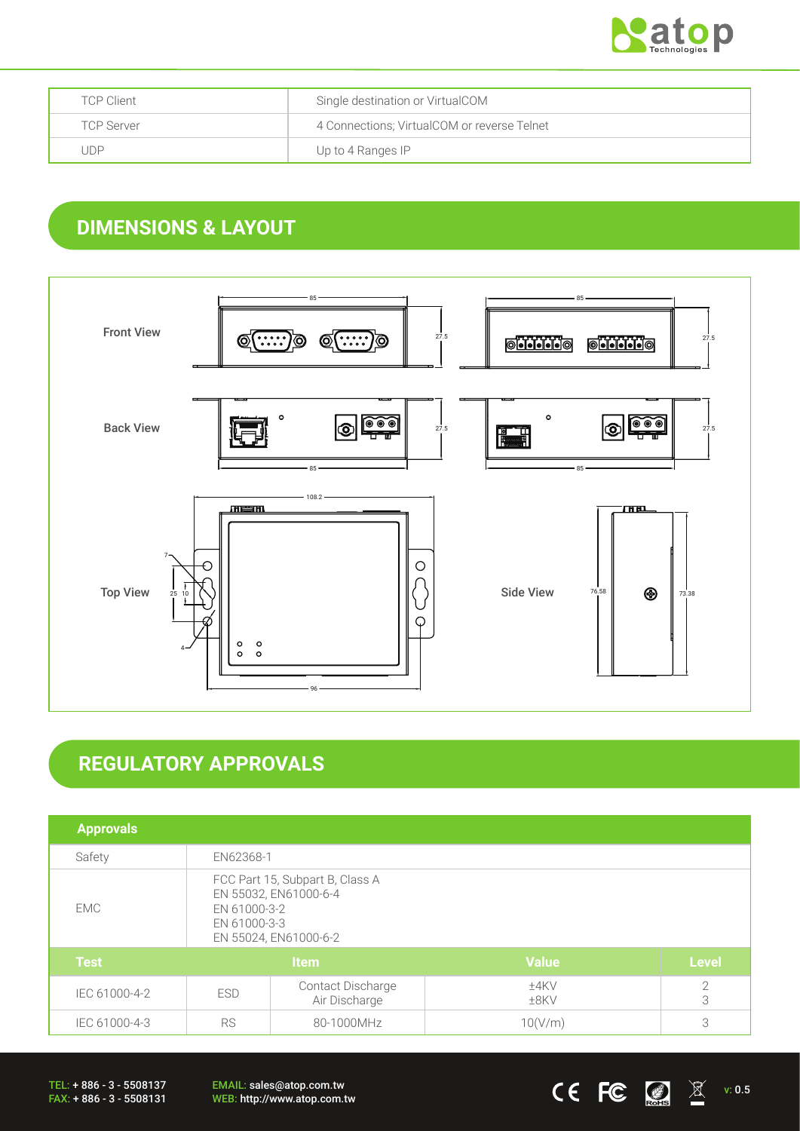

| <b>TCP Client</b> | Single destination or VirtualCOM            |
|-------------------|---------------------------------------------|
| <b>TCP Server</b> | 4 Connections; VirtualCOM or reverse Telnet |
| . JDP             | Up to 4 Ranges IP                           |

## **DIMENSIONS & LAYOUT**



# **REGULATORY APPROVALS**

| <b>Approvals</b> |                                                                                                                   |                                           |                 |                     |
|------------------|-------------------------------------------------------------------------------------------------------------------|-------------------------------------------|-----------------|---------------------|
| Safety           | EN62368-1                                                                                                         |                                           |                 |                     |
| EMC.             | FCC Part 15, Subpart B, Class A<br>EN 55032, EN61000-6-4<br>EN 61000-3-2<br>EN 61000-3-3<br>EN 55024, EN61000-6-2 |                                           |                 |                     |
| <b>Test</b>      | <b>Item</b>                                                                                                       |                                           | <b>Value</b>    | <b>Level</b>        |
| IEC 61000-4-2    | <b>ESD</b>                                                                                                        | <b>Contact Discharge</b><br>Air Discharge | ±4KV<br>$±8$ KV | $\overline{2}$<br>3 |
| IEC 61000-4-3    | <b>RS</b>                                                                                                         | 80-1000MHz                                | 10(V/m)         | 3                   |